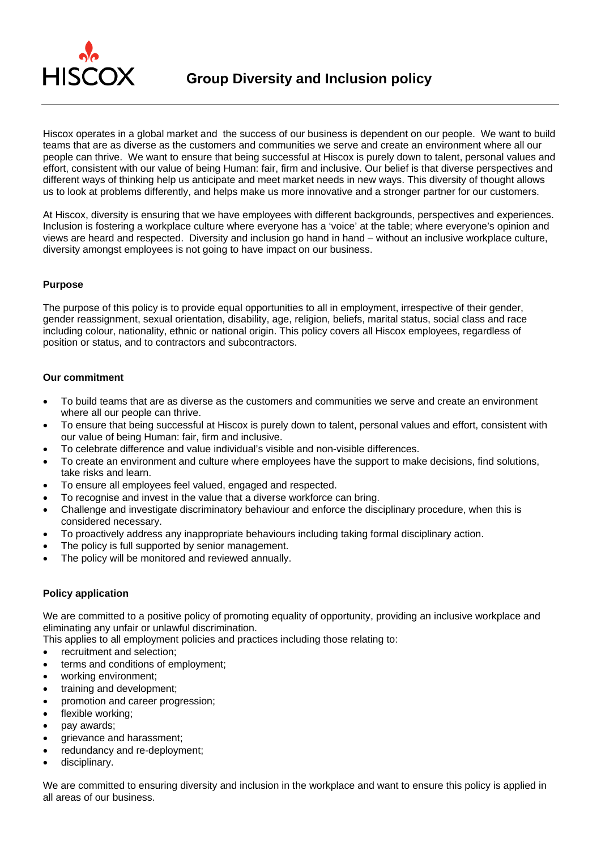

Hiscox operates in a global market and the success of our business is dependent on our people. We want to build teams that are as diverse as the customers and communities we serve and create an environment where all our people can thrive. We want to ensure that being successful at Hiscox is purely down to talent, personal values and effort, consistent with our value of being Human: fair, firm and inclusive. Our belief is that diverse perspectives and different ways of thinking help us anticipate and meet market needs in new ways. This diversity of thought allows us to look at problems differently, and helps make us more innovative and a stronger partner for our customers.

At Hiscox, diversity is ensuring that we have employees with different backgrounds, perspectives and experiences. Inclusion is fostering a workplace culture where everyone has a 'voice' at the table; where everyone's opinion and views are heard and respected. Diversity and inclusion go hand in hand – without an inclusive workplace culture, diversity amongst employees is not going to have impact on our business.

## **Purpose**

The purpose of this policy is to provide equal opportunities to all in employment, irrespective of their gender, gender reassignment, sexual orientation, disability, age, religion, beliefs, marital status, social class and race including colour, nationality, ethnic or national origin. This policy covers all Hiscox employees, regardless of position or status, and to contractors and subcontractors.

## **Our commitment**

- To build teams that are as diverse as the customers and communities we serve and create an environment where all our people can thrive.
- To ensure that being successful at Hiscox is purely down to talent, personal values and effort, consistent with our value of being Human: fair, firm and inclusive.
- To celebrate difference and value individual's visible and non-visible differences.
- To create an environment and culture where employees have the support to make decisions, find solutions, take risks and learn.
- To ensure all employees feel valued, engaged and respected.
- To recognise and invest in the value that a diverse workforce can bring.
- Challenge and investigate discriminatory behaviour and enforce the disciplinary procedure, when this is considered necessary.
- To proactively address any inappropriate behaviours including taking formal disciplinary action.
- The policy is full supported by senior management.
- The policy will be monitored and reviewed annually.

## **Policy application**

We are committed to a positive policy of promoting equality of opportunity, providing an inclusive workplace and eliminating any unfair or unlawful discrimination.

- This applies to all employment policies and practices including those relating to:
- recruitment and selection:
- terms and conditions of employment;
- working environment;
- training and development;
- promotion and career progression;
- flexible working;
- pay awards;
- **e** grievance and harassment;
- redundancy and re-deployment;
- disciplinary.

We are committed to ensuring diversity and inclusion in the workplace and want to ensure this policy is applied in all areas of our business.